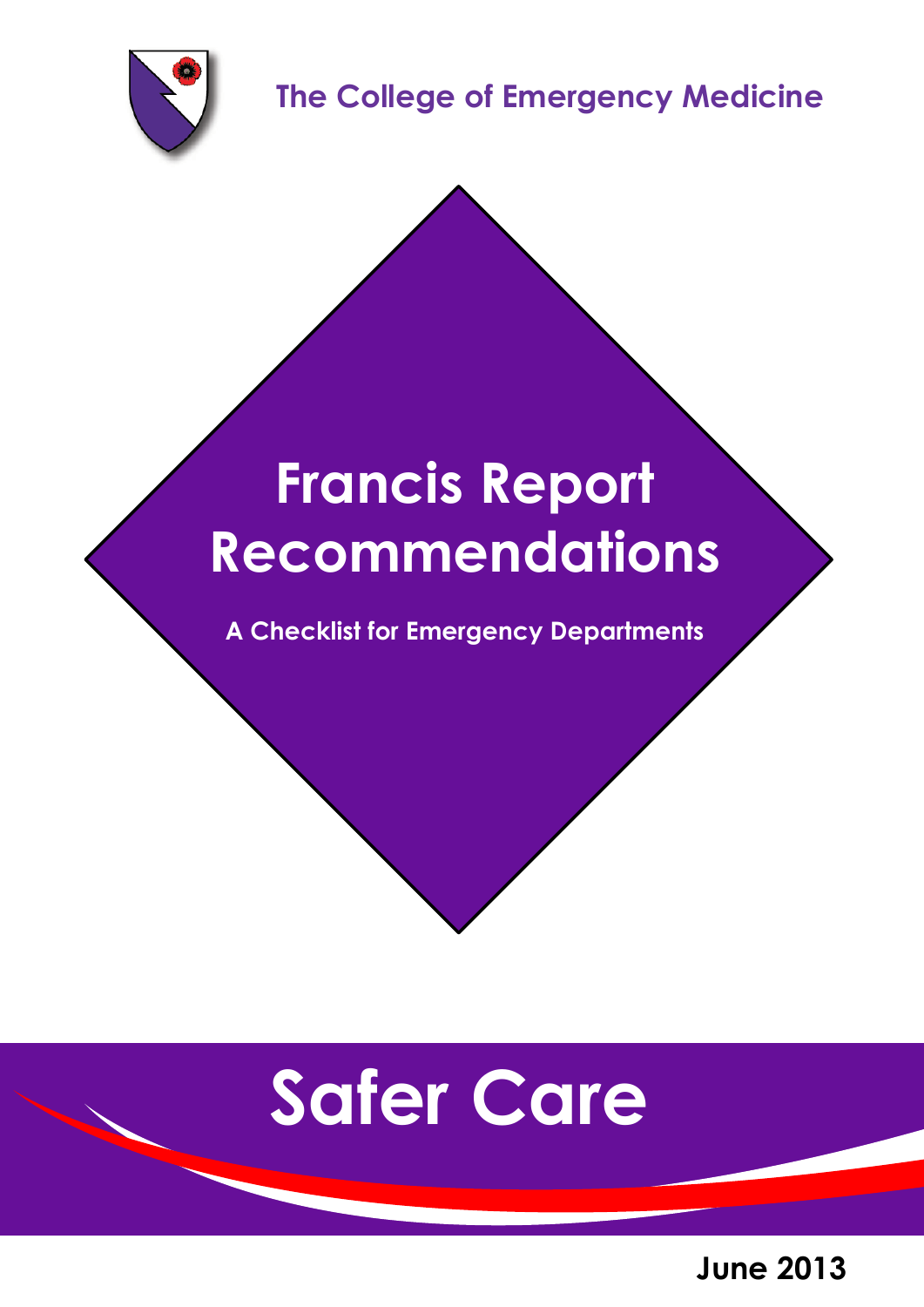

**The College of Emergency Medicine**

# **Francis Report Recommendations**

**A Checklist for Emergency Departments**

# **Safer Care**

**June 2013**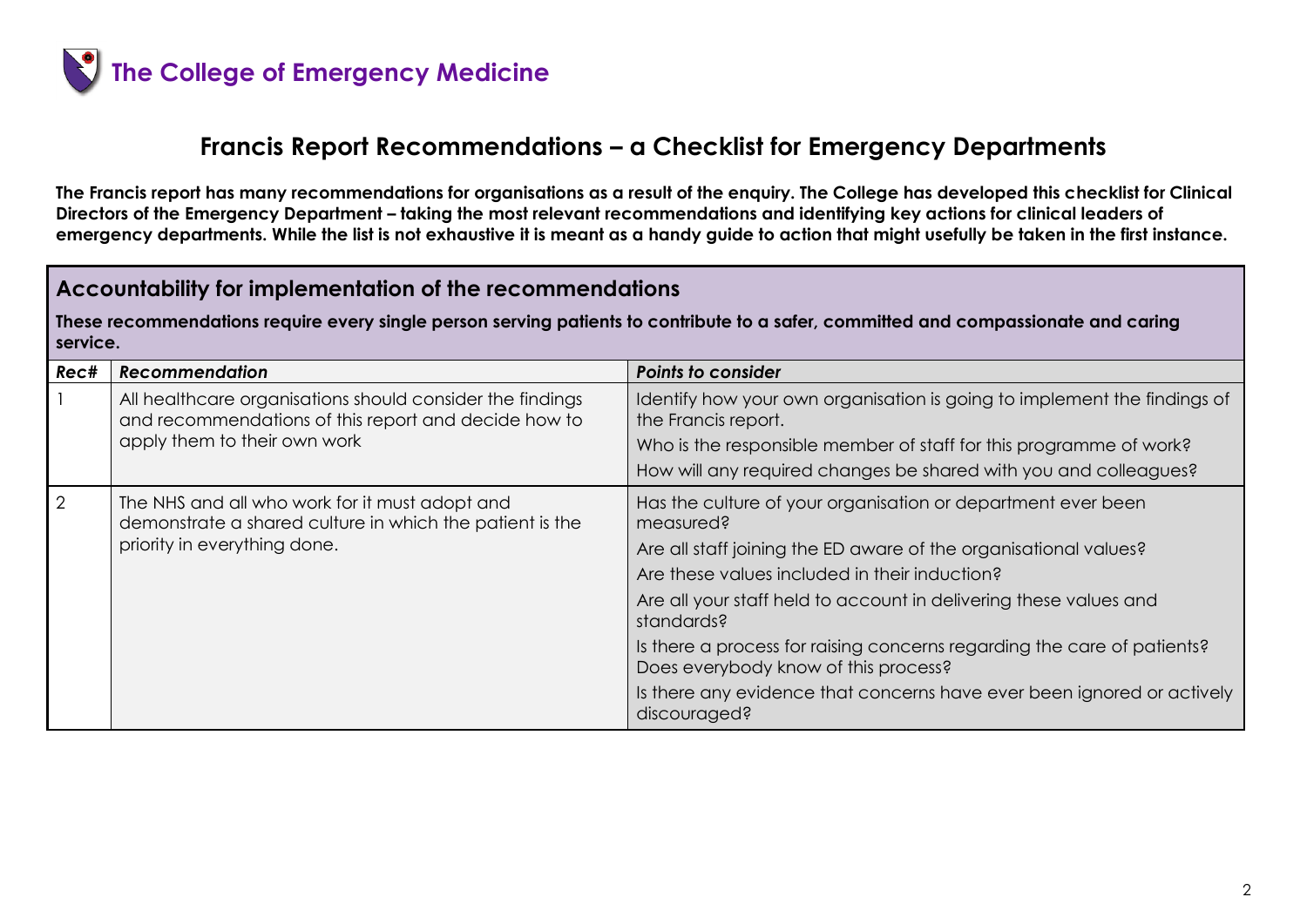

## **Francis Report Recommendations – a Checklist for Emergency Departments**

**The Francis report has many recommendations for organisations as a result of the enquiry. The College has developed this checklist for Clinical Directors of the Emergency Department – taking the most relevant recommendations and identifying key actions for clinical leaders of emergency departments. While the list is not exhaustive it is meant as a handy guide to action that might usefully be taken in the first instance.** 

#### **Accountability for implementation of the recommendations**

**These recommendations require every single person serving patients to contribute to a safer, committed and compassionate and caring service.**

| Rec#           | <b>Recommendation</b>                                                                                                                             | <b>Points to consider</b>                                                                                                                                                                                                                                                                                                                                                                                                                                                                      |
|----------------|---------------------------------------------------------------------------------------------------------------------------------------------------|------------------------------------------------------------------------------------------------------------------------------------------------------------------------------------------------------------------------------------------------------------------------------------------------------------------------------------------------------------------------------------------------------------------------------------------------------------------------------------------------|
|                | All healthcare organisations should consider the findings<br>and recommendations of this report and decide how to<br>apply them to their own work | Identify how your own organisation is going to implement the findings of<br>the Francis report.<br>Who is the responsible member of staff for this programme of work?<br>How will any required changes be shared with you and colleagues?                                                                                                                                                                                                                                                      |
| $\overline{2}$ | The NHS and all who work for it must adopt and<br>demonstrate a shared culture in which the patient is the<br>priority in everything done.        | Has the culture of your organisation or department ever been<br>measured?<br>Are all staff joining the ED aware of the organisational values?<br>Are these values included in their induction?<br>Are all your staff held to account in delivering these values and<br>standards?<br>Is there a process for raising concerns regarding the care of patients?<br>Does everybody know of this process?<br>Is there any evidence that concerns have ever been ignored or actively<br>discouraged? |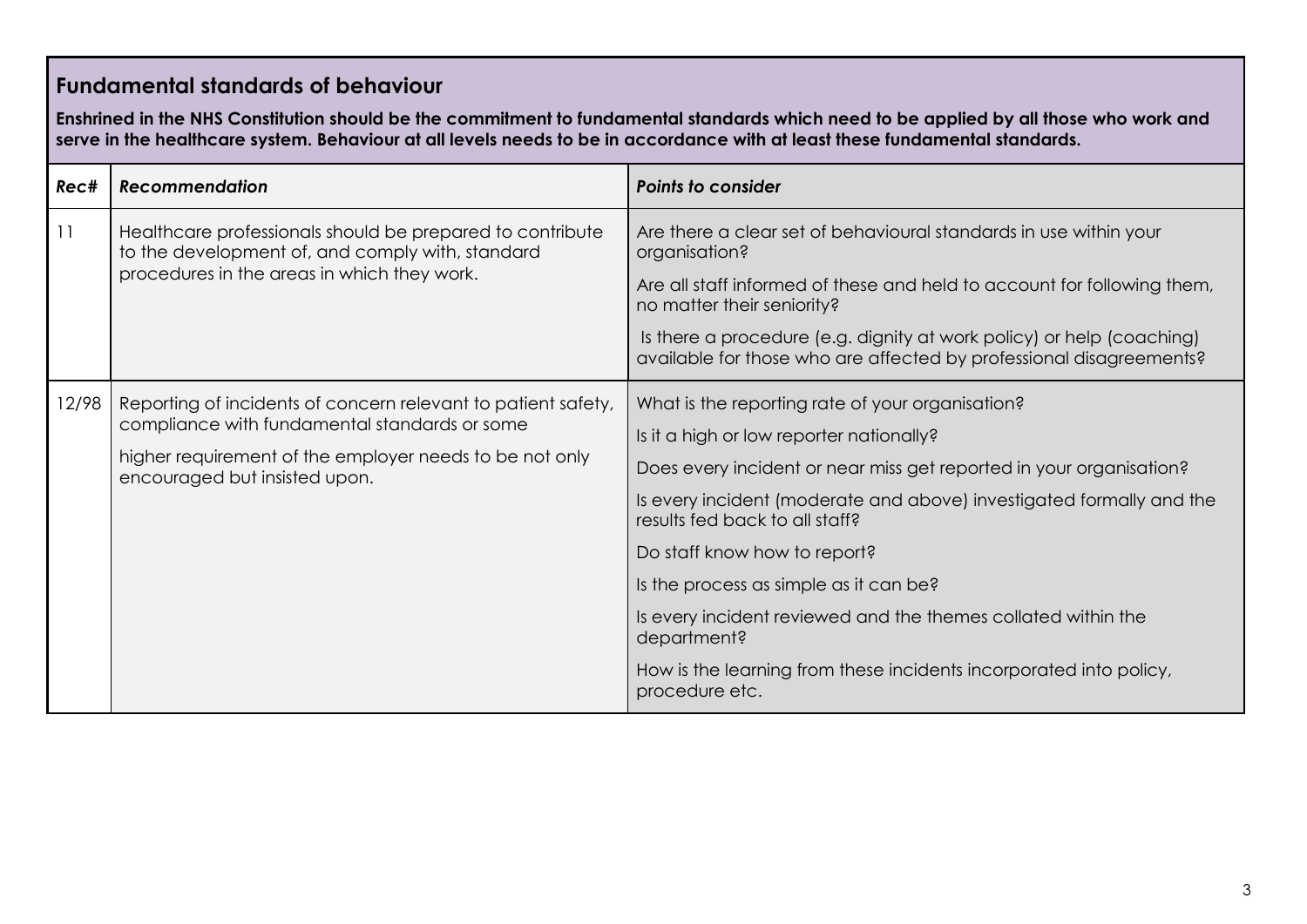### **Fundamental standards of behaviour**

**Enshrined in the NHS Constitution should be the commitment to fundamental standards which need to be applied by all those who work and serve in the healthcare system. Behaviour at all levels needs to be in accordance with at least these fundamental standards.**

| Rec#  | <b>Recommendation</b>                                                                                                                                                                                      | <b>Points to consider</b>                                                                                                                                                                                                                                                                                                                                                                                                                                                                                                       |
|-------|------------------------------------------------------------------------------------------------------------------------------------------------------------------------------------------------------------|---------------------------------------------------------------------------------------------------------------------------------------------------------------------------------------------------------------------------------------------------------------------------------------------------------------------------------------------------------------------------------------------------------------------------------------------------------------------------------------------------------------------------------|
| 11    | Healthcare professionals should be prepared to contribute<br>to the development of, and comply with, standard<br>procedures in the areas in which they work.                                               | Are there a clear set of behavioural standards in use within your<br>organisation?<br>Are all staff informed of these and held to account for following them,<br>no matter their seniority?<br>Is there a procedure (e.g. dignity at work policy) or help (coaching)<br>available for those who are affected by professional disagreements?                                                                                                                                                                                     |
| 12/98 | Reporting of incidents of concern relevant to patient safety,<br>compliance with fundamental standards or some<br>higher requirement of the employer needs to be not only<br>encouraged but insisted upon. | What is the reporting rate of your organisation?<br>Is it a high or low reporter nationally?<br>Does every incident or near miss get reported in your organisation?<br>Is every incident (moderate and above) investigated formally and the<br>results fed back to all staff?<br>Do staff know how to report?<br>Is the process as simple as it can be?<br>Is every incident reviewed and the themes collated within the<br>department?<br>How is the learning from these incidents incorporated into policy,<br>procedure etc. |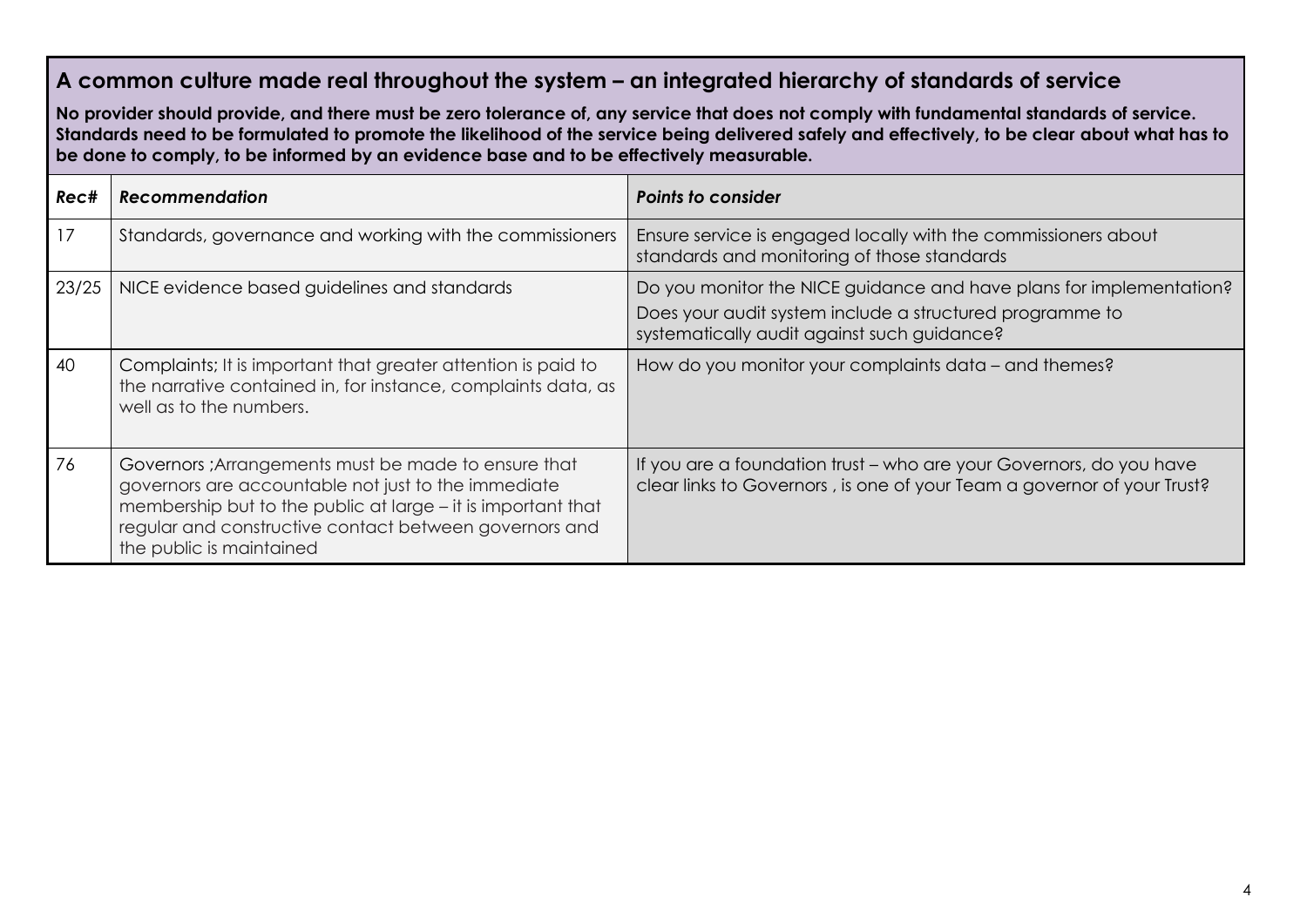#### **A common culture made real throughout the system – an integrated hierarchy of standards of service**

**No provider should provide, and there must be zero tolerance of, any service that does not comply with fundamental standards of service. Standards need to be formulated to promote the likelihood of the service being delivered safely and effectively, to be clear about what has to be done to comply, to be informed by an evidence base and to be effectively measurable.**

| Rec#  | <b>Recommendation</b>                                                                                                                                                                                                                                             | <b>Points to consider</b>                                                                                                                                                      |
|-------|-------------------------------------------------------------------------------------------------------------------------------------------------------------------------------------------------------------------------------------------------------------------|--------------------------------------------------------------------------------------------------------------------------------------------------------------------------------|
| 17    | Standards, governance and working with the commissioners                                                                                                                                                                                                          | Ensure service is engaged locally with the commissioners about<br>standards and monitoring of those standards                                                                  |
| 23/25 | NICE evidence based guidelines and standards                                                                                                                                                                                                                      | Do you monitor the NICE guidance and have plans for implementation?<br>Does your audit system include a structured programme to<br>systematically audit against such guidance? |
| 40    | Complaints; It is important that greater attention is paid to<br>the narrative contained in, for instance, complaints data, as<br>well as to the numbers.                                                                                                         | How do you monitor your complaints data – and themes?                                                                                                                          |
| 76    | Governors ; Arrangements must be made to ensure that<br>governors are accountable not just to the immediate<br>membership but to the public at large – it is important that<br>regular and constructive contact between governors and<br>the public is maintained | If you are a foundation trust – who are your Governors, do you have<br>clear links to Governors, is one of your Team a governor of your Trust?                                 |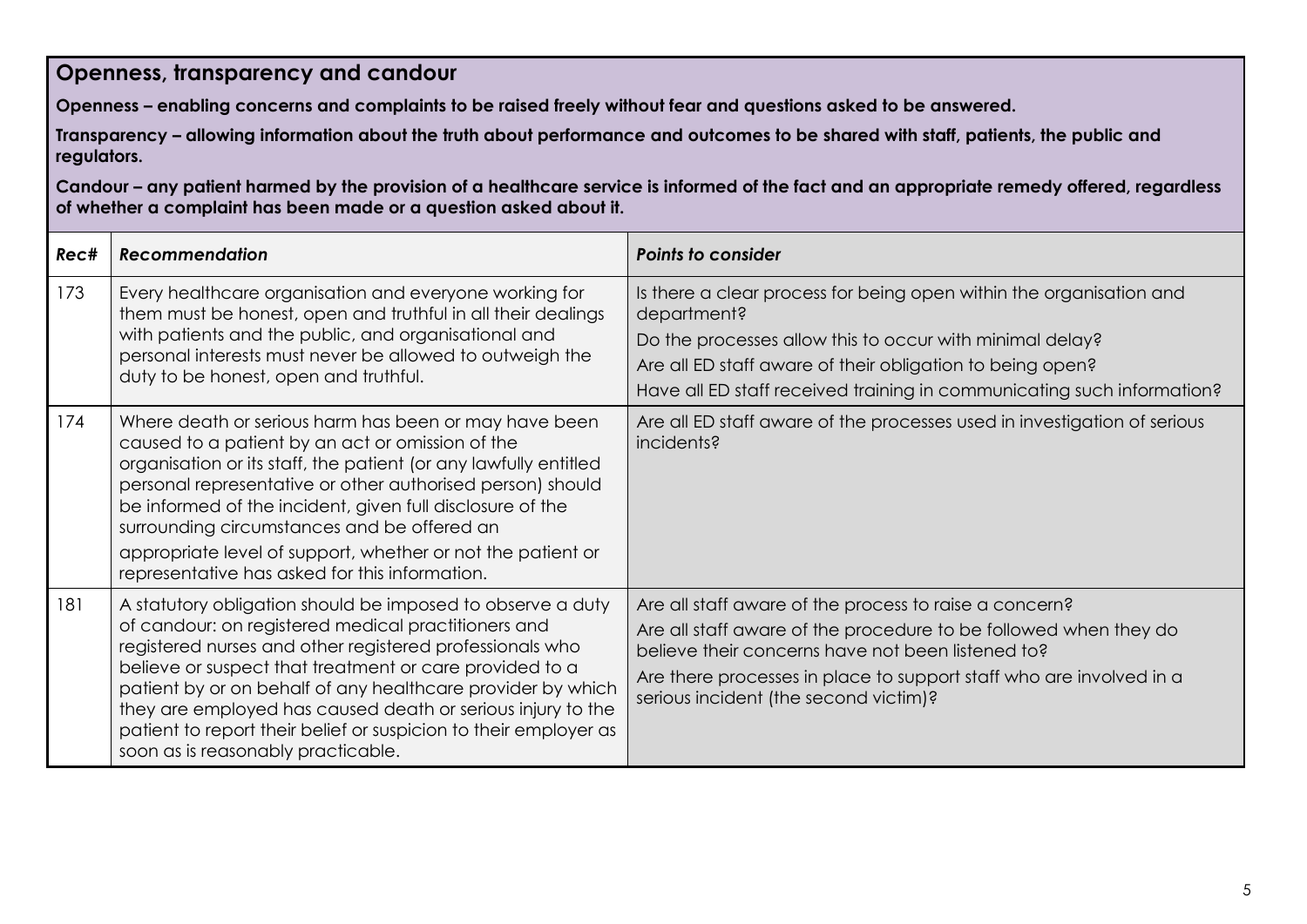#### **Openness, transparency and candour**

**Openness – enabling concerns and complaints to be raised freely without fear and questions asked to be answered.**

**Transparency – allowing information about the truth about performance and outcomes to be shared with staff, patients, the public and regulators.**

**Candour – any patient harmed by the provision of a healthcare service is informed of the fact and an appropriate remedy offered, regardless of whether a complaint has been made or a question asked about it.**

| Rec# | <b>Recommendation</b>                                                                                                                                                                                                                                                                                                                                                                                                                                                            | <b>Points to consider</b>                                                                                                                                                                                                                                                                       |
|------|----------------------------------------------------------------------------------------------------------------------------------------------------------------------------------------------------------------------------------------------------------------------------------------------------------------------------------------------------------------------------------------------------------------------------------------------------------------------------------|-------------------------------------------------------------------------------------------------------------------------------------------------------------------------------------------------------------------------------------------------------------------------------------------------|
| 173  | Every healthcare organisation and everyone working for<br>them must be honest, open and truthful in all their dealings<br>with patients and the public, and organisational and<br>personal interests must never be allowed to outweigh the<br>duty to be honest, open and truthful.                                                                                                                                                                                              | Is there a clear process for being open within the organisation and<br>department?<br>Do the processes allow this to occur with minimal delay?<br>Are all ED staff aware of their obligation to being open?<br>Have all ED staff received training in communicating such information?           |
| 174  | Where death or serious harm has been or may have been<br>caused to a patient by an act or omission of the<br>organisation or its staff, the patient (or any lawfully entitled<br>personal representative or other authorised person) should<br>be informed of the incident, given full disclosure of the<br>surrounding circumstances and be offered an<br>appropriate level of support, whether or not the patient or<br>representative has asked for this information.         | Are all ED staff aware of the processes used in investigation of serious<br>incidents?                                                                                                                                                                                                          |
| 181  | A statutory obligation should be imposed to observe a duty<br>of candour: on registered medical practitioners and<br>registered nurses and other registered professionals who<br>believe or suspect that treatment or care provided to a<br>patient by or on behalf of any healthcare provider by which<br>they are employed has caused death or serious injury to the<br>patient to report their belief or suspicion to their employer as<br>soon as is reasonably practicable. | Are all staff aware of the process to raise a concern?<br>Are all staff aware of the procedure to be followed when they do<br>believe their concerns have not been listened to?<br>Are there processes in place to support staff who are involved in a<br>serious incident (the second victim)? |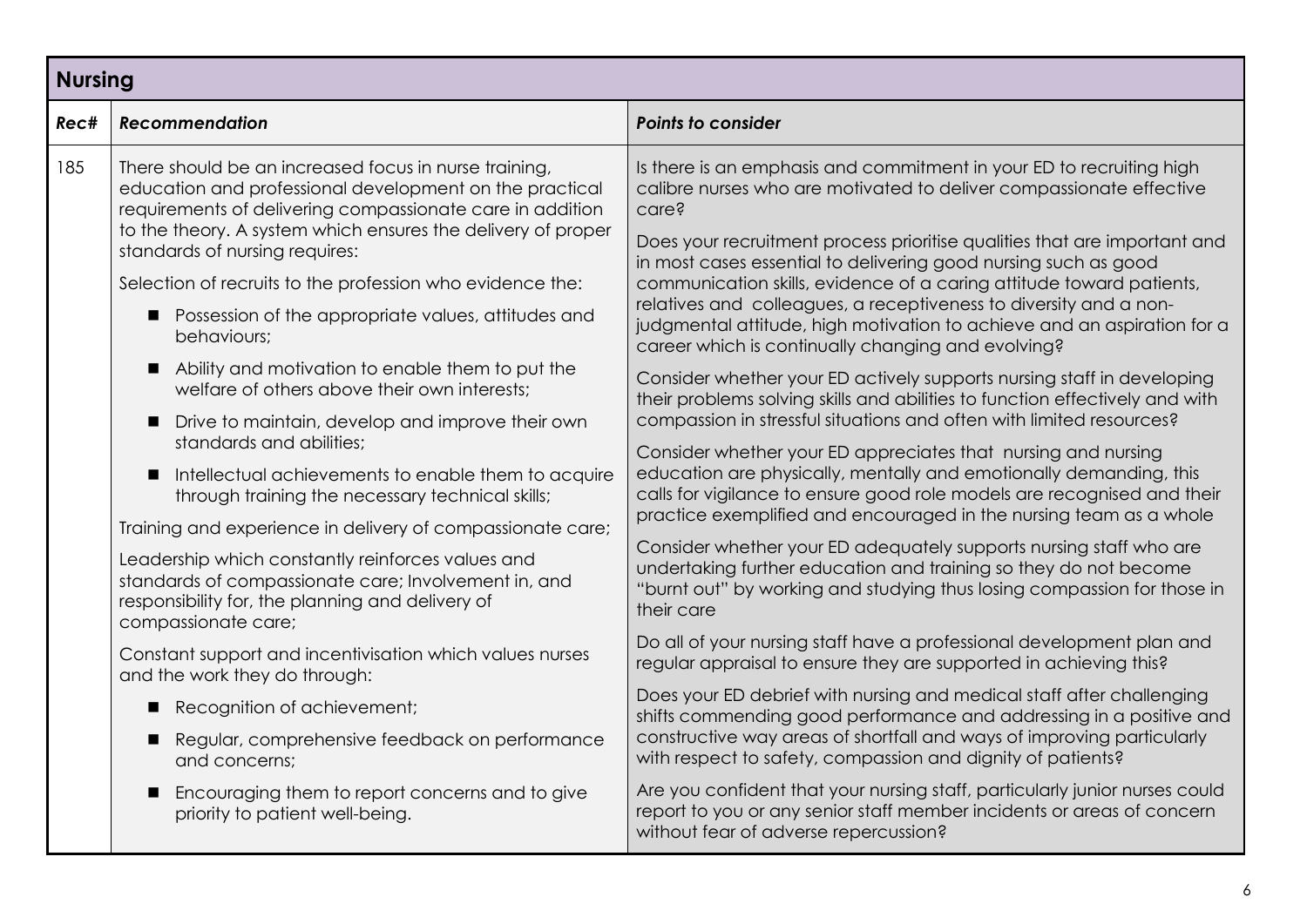| <b>Nursing</b> |                                                                                                                                                                                                                                                                                                                                                                                                                                                                                                                                                                                                                                                                                                                                                                                                                                                                                                                                                            |                                                                                                                                                                                                                                                                                                                                                                                                                                                                                                                                                                                                                                                                                                                                                                                                                                                                                                                                                                                                                                                                                                                                                                                                                                                                                                                                                 |
|----------------|------------------------------------------------------------------------------------------------------------------------------------------------------------------------------------------------------------------------------------------------------------------------------------------------------------------------------------------------------------------------------------------------------------------------------------------------------------------------------------------------------------------------------------------------------------------------------------------------------------------------------------------------------------------------------------------------------------------------------------------------------------------------------------------------------------------------------------------------------------------------------------------------------------------------------------------------------------|-------------------------------------------------------------------------------------------------------------------------------------------------------------------------------------------------------------------------------------------------------------------------------------------------------------------------------------------------------------------------------------------------------------------------------------------------------------------------------------------------------------------------------------------------------------------------------------------------------------------------------------------------------------------------------------------------------------------------------------------------------------------------------------------------------------------------------------------------------------------------------------------------------------------------------------------------------------------------------------------------------------------------------------------------------------------------------------------------------------------------------------------------------------------------------------------------------------------------------------------------------------------------------------------------------------------------------------------------|
| Rec#           | <b>Recommendation</b>                                                                                                                                                                                                                                                                                                                                                                                                                                                                                                                                                                                                                                                                                                                                                                                                                                                                                                                                      | <b>Points to consider</b>                                                                                                                                                                                                                                                                                                                                                                                                                                                                                                                                                                                                                                                                                                                                                                                                                                                                                                                                                                                                                                                                                                                                                                                                                                                                                                                       |
| 185            | There should be an increased focus in nurse training,<br>education and professional development on the practical<br>requirements of delivering compassionate care in addition<br>to the theory. A system which ensures the delivery of proper<br>standards of nursing requires:<br>Selection of recruits to the profession who evidence the:<br>Possession of the appropriate values, attitudes and<br>behaviours;<br>Ability and motivation to enable them to put the<br>welfare of others above their own interests;<br>Drive to maintain, develop and improve their own<br>п<br>standards and abilities:<br>Intellectual achievements to enable them to acquire<br>п<br>through training the necessary technical skills;<br>Training and experience in delivery of compassionate care;<br>Leadership which constantly reinforces values and<br>standards of compassionate care; Involvement in, and<br>responsibility for, the planning and delivery of | Is there is an emphasis and commitment in your ED to recruiting high<br>calibre nurses who are motivated to deliver compassionate effective<br>care?<br>Does your recruitment process prioritise qualities that are important and<br>in most cases essential to delivering good nursing such as good<br>communication skills, evidence of a caring attitude toward patients,<br>relatives and colleagues, a receptiveness to diversity and a non-<br>judgmental attitude, high motivation to achieve and an aspiration for a<br>career which is continually changing and evolving?<br>Consider whether your ED actively supports nursing staff in developing<br>their problems solving skills and abilities to function effectively and with<br>compassion in stressful situations and often with limited resources?<br>Consider whether your ED appreciates that nursing and nursing<br>education are physically, mentally and emotionally demanding, this<br>calls for vigilance to ensure good role models are recognised and their<br>practice exemplified and encouraged in the nursing team as a whole<br>Consider whether your ED adequately supports nursing staff who are<br>undertaking further education and training so they do not become<br>"burnt out" by working and studying thus losing compassion for those in<br>their care |
|                | compassionate care;<br>Constant support and incentivisation which values nurses<br>and the work they do through:                                                                                                                                                                                                                                                                                                                                                                                                                                                                                                                                                                                                                                                                                                                                                                                                                                           | Do all of your nursing staff have a professional development plan and<br>regular appraisal to ensure they are supported in achieving this?<br>Does your ED debrief with nursing and medical staff after challenging                                                                                                                                                                                                                                                                                                                                                                                                                                                                                                                                                                                                                                                                                                                                                                                                                                                                                                                                                                                                                                                                                                                             |
|                | Recognition of achievement;                                                                                                                                                                                                                                                                                                                                                                                                                                                                                                                                                                                                                                                                                                                                                                                                                                                                                                                                | shifts commending good performance and addressing in a positive and                                                                                                                                                                                                                                                                                                                                                                                                                                                                                                                                                                                                                                                                                                                                                                                                                                                                                                                                                                                                                                                                                                                                                                                                                                                                             |
|                | Regular, comprehensive feedback on performance<br>and concerns;                                                                                                                                                                                                                                                                                                                                                                                                                                                                                                                                                                                                                                                                                                                                                                                                                                                                                            | constructive way areas of shortfall and ways of improving particularly<br>with respect to safety, compassion and dignity of patients?                                                                                                                                                                                                                                                                                                                                                                                                                                                                                                                                                                                                                                                                                                                                                                                                                                                                                                                                                                                                                                                                                                                                                                                                           |
|                | Encouraging them to report concerns and to give<br>priority to patient well-being.                                                                                                                                                                                                                                                                                                                                                                                                                                                                                                                                                                                                                                                                                                                                                                                                                                                                         | Are you confident that your nursing staff, particularly junior nurses could<br>report to you or any senior staff member incidents or areas of concern<br>without fear of adverse repercussion?                                                                                                                                                                                                                                                                                                                                                                                                                                                                                                                                                                                                                                                                                                                                                                                                                                                                                                                                                                                                                                                                                                                                                  |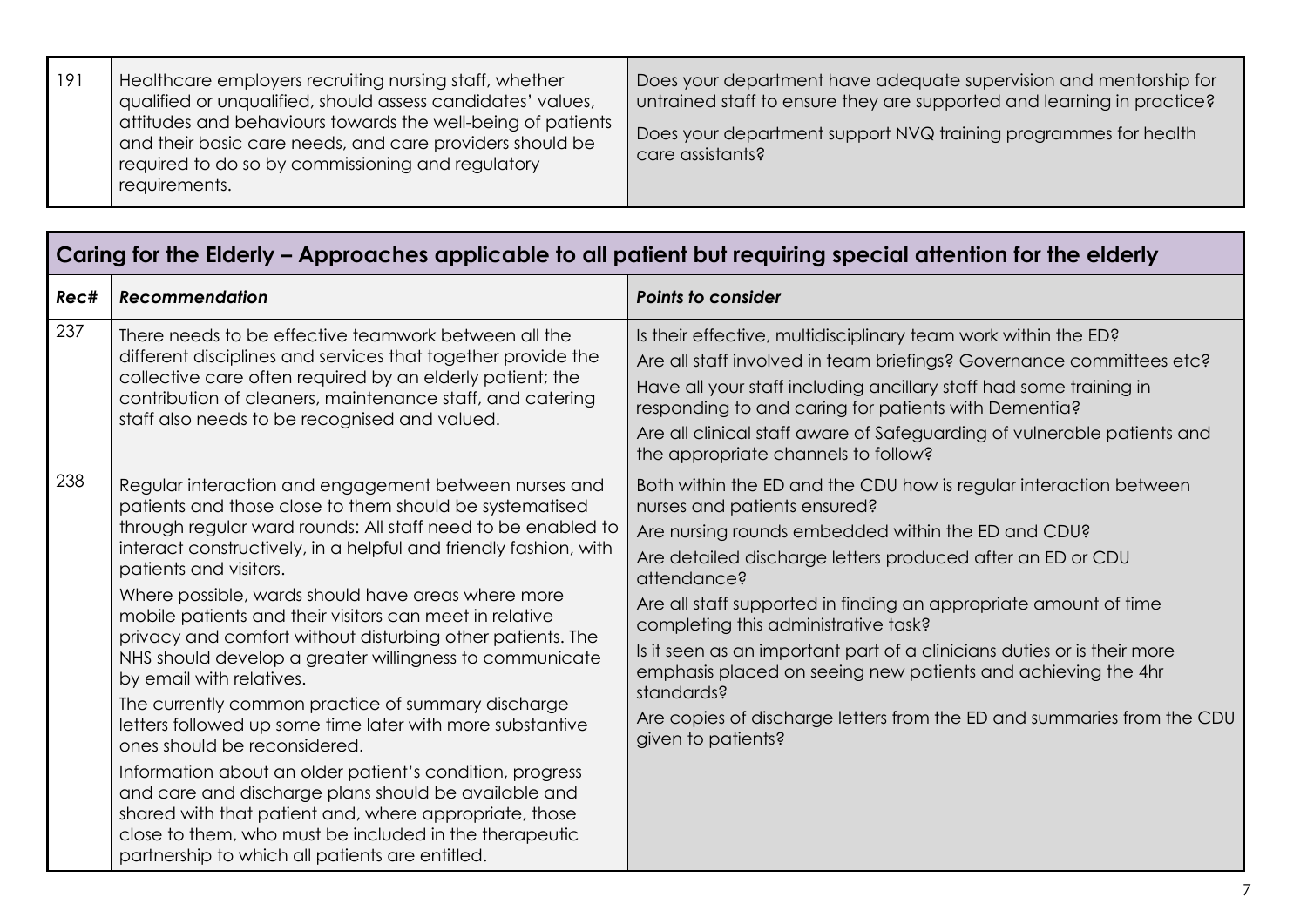| 191 | Healthcare employers recruiting nursing staff, whether<br>qualified or unqualified, should assess candidates' values,<br>attitudes and behaviours towards the well-being of patients<br>and their basic care needs, and care providers should be<br>required to do so by commissioning and regulatory<br>requirements. | Does your department have adequate supervision and mentorship for<br>untrained staff to ensure they are supported and learning in practice?<br>Does your department support NVQ training programmes for health<br>care assistants? |
|-----|------------------------------------------------------------------------------------------------------------------------------------------------------------------------------------------------------------------------------------------------------------------------------------------------------------------------|------------------------------------------------------------------------------------------------------------------------------------------------------------------------------------------------------------------------------------|
|-----|------------------------------------------------------------------------------------------------------------------------------------------------------------------------------------------------------------------------------------------------------------------------------------------------------------------------|------------------------------------------------------------------------------------------------------------------------------------------------------------------------------------------------------------------------------------|

| Caring for the Elderly – Approaches applicable to all patient but requiring special attention for the elderly |                                                                                                                                                                                                                                                                                                                                                                                                                                                                                                                                                                                                                                                                                                                                                                                                                                                                                                                                                                                                    |                                                                                                                                                                                                                                                                                                                                                                                                                                                                                                                                                                                                           |
|---------------------------------------------------------------------------------------------------------------|----------------------------------------------------------------------------------------------------------------------------------------------------------------------------------------------------------------------------------------------------------------------------------------------------------------------------------------------------------------------------------------------------------------------------------------------------------------------------------------------------------------------------------------------------------------------------------------------------------------------------------------------------------------------------------------------------------------------------------------------------------------------------------------------------------------------------------------------------------------------------------------------------------------------------------------------------------------------------------------------------|-----------------------------------------------------------------------------------------------------------------------------------------------------------------------------------------------------------------------------------------------------------------------------------------------------------------------------------------------------------------------------------------------------------------------------------------------------------------------------------------------------------------------------------------------------------------------------------------------------------|
| Rec#                                                                                                          | <b>Recommendation</b>                                                                                                                                                                                                                                                                                                                                                                                                                                                                                                                                                                                                                                                                                                                                                                                                                                                                                                                                                                              | <b>Points to consider</b>                                                                                                                                                                                                                                                                                                                                                                                                                                                                                                                                                                                 |
| 237                                                                                                           | There needs to be effective teamwork between all the<br>different disciplines and services that together provide the<br>collective care often required by an elderly patient; the<br>contribution of cleaners, maintenance staff, and catering<br>staff also needs to be recognised and valued.                                                                                                                                                                                                                                                                                                                                                                                                                                                                                                                                                                                                                                                                                                    | Is their effective, multidisciplinary team work within the ED?<br>Are all staff involved in team briefings? Governance committees etc?<br>Have all your staff including ancillary staff had some training in<br>responding to and caring for patients with Dementia?<br>Are all clinical staff aware of Safeguarding of vulnerable patients and<br>the appropriate channels to follow?                                                                                                                                                                                                                    |
| 238                                                                                                           | Regular interaction and engagement between nurses and<br>patients and those close to them should be systematised<br>through regular ward rounds: All staff need to be enabled to<br>interact constructively, in a helpful and friendly fashion, with<br>patients and visitors.<br>Where possible, wards should have areas where more<br>mobile patients and their visitors can meet in relative<br>privacy and comfort without disturbing other patients. The<br>NHS should develop a greater willingness to communicate<br>by email with relatives.<br>The currently common practice of summary discharge<br>letters followed up some time later with more substantive<br>ones should be reconsidered.<br>Information about an older patient's condition, progress<br>and care and discharge plans should be available and<br>shared with that patient and, where appropriate, those<br>close to them, who must be included in the therapeutic<br>partnership to which all patients are entitled. | Both within the ED and the CDU how is regular interaction between<br>nurses and patients ensured?<br>Are nursing rounds embedded within the ED and CDU?<br>Are detailed discharge letters produced after an ED or CDU<br>attendance?<br>Are all staff supported in finding an appropriate amount of time<br>completing this administrative task?<br>Is it seen as an important part of a clinicians duties or is their more<br>emphasis placed on seeing new patients and achieving the 4hr<br>standards?<br>Are copies of discharge letters from the ED and summaries from the CDU<br>given to patients? |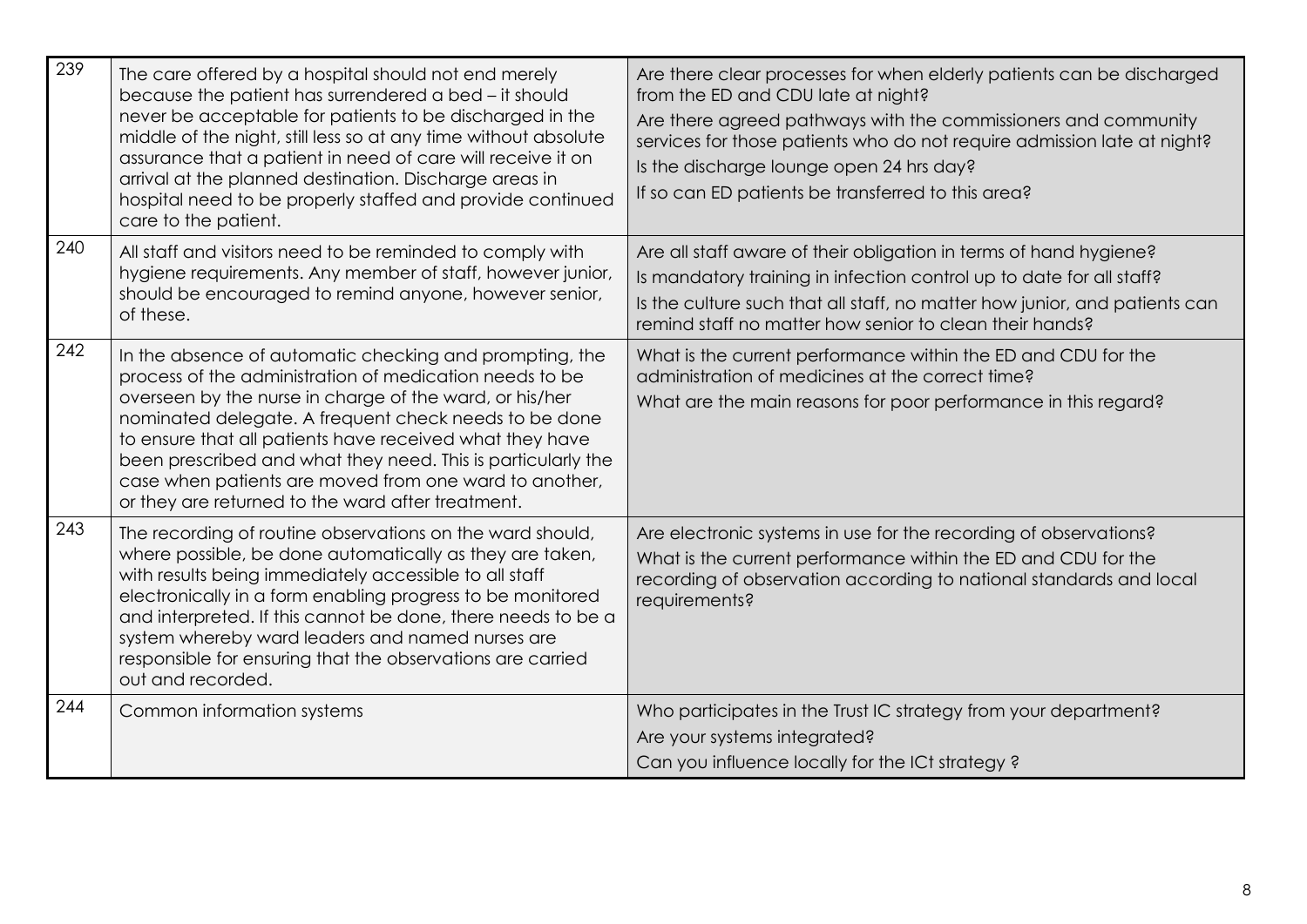| 239 | The care offered by a hospital should not end merely<br>because the patient has surrendered a bed - it should<br>never be acceptable for patients to be discharged in the<br>middle of the night, still less so at any time without absolute<br>assurance that a patient in need of care will receive it on<br>arrival at the planned destination. Discharge areas in<br>hospital need to be properly staffed and provide continued<br>care to the patient.                       | Are there clear processes for when elderly patients can be discharged<br>from the ED and CDU late at night?<br>Are there agreed pathways with the commissioners and community<br>services for those patients who do not require admission late at night?<br>Is the discharge lounge open 24 hrs day?<br>If so can ED patients be transferred to this area? |
|-----|-----------------------------------------------------------------------------------------------------------------------------------------------------------------------------------------------------------------------------------------------------------------------------------------------------------------------------------------------------------------------------------------------------------------------------------------------------------------------------------|------------------------------------------------------------------------------------------------------------------------------------------------------------------------------------------------------------------------------------------------------------------------------------------------------------------------------------------------------------|
| 240 | All staff and visitors need to be reminded to comply with<br>hygiene requirements. Any member of staff, however junior,<br>should be encouraged to remind anyone, however senior,<br>of these.                                                                                                                                                                                                                                                                                    | Are all staff aware of their obligation in terms of hand hygiene?<br>Is mandatory training in infection control up to date for all staff?<br>Is the culture such that all staff, no matter how junior, and patients can<br>remind staff no matter how senior to clean their hands?                                                                         |
| 242 | In the absence of automatic checking and prompting, the<br>process of the administration of medication needs to be<br>overseen by the nurse in charge of the ward, or his/her<br>nominated delegate. A frequent check needs to be done<br>to ensure that all patients have received what they have<br>been prescribed and what they need. This is particularly the<br>case when patients are moved from one ward to another,<br>or they are returned to the ward after treatment. | What is the current performance within the ED and CDU for the<br>administration of medicines at the correct time?<br>What are the main reasons for poor performance in this regard?                                                                                                                                                                        |
| 243 | The recording of routine observations on the ward should,<br>where possible, be done automatically as they are taken,<br>with results being immediately accessible to all staff<br>electronically in a form enabling progress to be monitored<br>and interpreted. If this cannot be done, there needs to be a<br>system whereby ward leaders and named nurses are<br>responsible for ensuring that the observations are carried<br>out and recorded.                              | Are electronic systems in use for the recording of observations?<br>What is the current performance within the ED and CDU for the<br>recording of observation according to national standards and local<br>requirements?                                                                                                                                   |
| 244 | Common information systems                                                                                                                                                                                                                                                                                                                                                                                                                                                        | Who participates in the Trust IC strategy from your department?<br>Are your systems integrated?<br>Can you influence locally for the ICt strategy?                                                                                                                                                                                                         |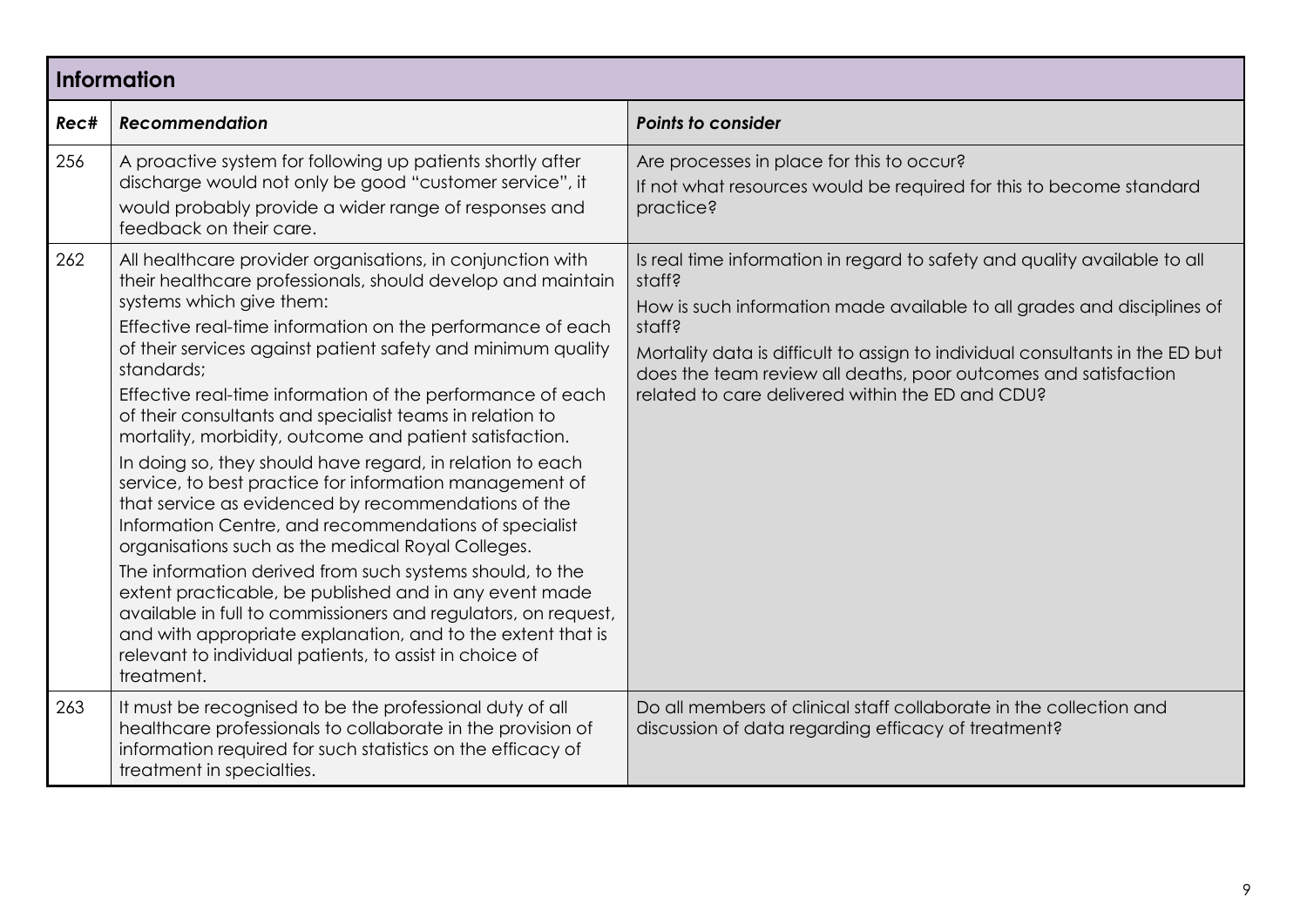| <b>Information</b> |                                                                                                                                                                                                                                                                                                                                                                                                                                                                                                                                                                                                                                                                                                                                                                                                                                                                                                                                                                                                                                                                                                                     |                                                                                                                                                                                                                                                                                                                                                                                  |
|--------------------|---------------------------------------------------------------------------------------------------------------------------------------------------------------------------------------------------------------------------------------------------------------------------------------------------------------------------------------------------------------------------------------------------------------------------------------------------------------------------------------------------------------------------------------------------------------------------------------------------------------------------------------------------------------------------------------------------------------------------------------------------------------------------------------------------------------------------------------------------------------------------------------------------------------------------------------------------------------------------------------------------------------------------------------------------------------------------------------------------------------------|----------------------------------------------------------------------------------------------------------------------------------------------------------------------------------------------------------------------------------------------------------------------------------------------------------------------------------------------------------------------------------|
| Rec#               | <b>Recommendation</b>                                                                                                                                                                                                                                                                                                                                                                                                                                                                                                                                                                                                                                                                                                                                                                                                                                                                                                                                                                                                                                                                                               | <b>Points to consider</b>                                                                                                                                                                                                                                                                                                                                                        |
| 256                | A proactive system for following up patients shortly after<br>discharge would not only be good "customer service", it<br>would probably provide a wider range of responses and<br>feedback on their care.                                                                                                                                                                                                                                                                                                                                                                                                                                                                                                                                                                                                                                                                                                                                                                                                                                                                                                           | Are processes in place for this to occur?<br>If not what resources would be required for this to become standard<br>practice?                                                                                                                                                                                                                                                    |
| 262                | All healthcare provider organisations, in conjunction with<br>their healthcare professionals, should develop and maintain<br>systems which give them:<br>Effective real-time information on the performance of each<br>of their services against patient safety and minimum quality<br>standards;<br>Effective real-time information of the performance of each<br>of their consultants and specialist teams in relation to<br>mortality, morbidity, outcome and patient satisfaction.<br>In doing so, they should have regard, in relation to each<br>service, to best practice for information management of<br>that service as evidenced by recommendations of the<br>Information Centre, and recommendations of specialist<br>organisations such as the medical Royal Colleges.<br>The information derived from such systems should, to the<br>extent practicable, be published and in any event made<br>available in full to commissioners and regulators, on request,<br>and with appropriate explanation, and to the extent that is<br>relevant to individual patients, to assist in choice of<br>treatment. | Is real time information in regard to safety and quality available to all<br>staff?<br>How is such information made available to all grades and disciplines of<br>staff?<br>Mortality data is difficult to assign to individual consultants in the ED but<br>does the team review all deaths, poor outcomes and satisfaction<br>related to care delivered within the ED and CDU? |
| 263                | It must be recognised to be the professional duty of all<br>healthcare professionals to collaborate in the provision of<br>information required for such statistics on the efficacy of<br>treatment in specialties.                                                                                                                                                                                                                                                                                                                                                                                                                                                                                                                                                                                                                                                                                                                                                                                                                                                                                                 | Do all members of clinical staff collaborate in the collection and<br>discussion of data regarding efficacy of treatment?                                                                                                                                                                                                                                                        |